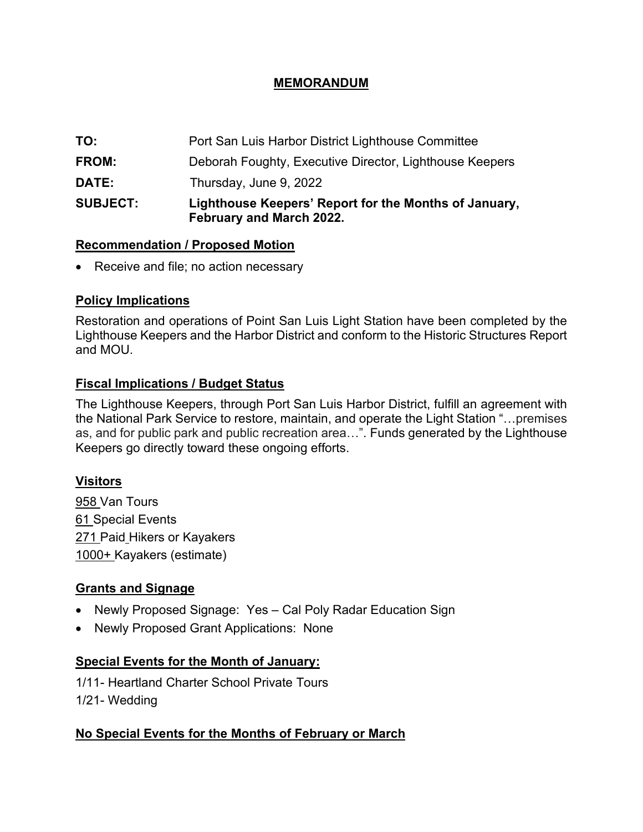# **MEMORANDUM**

| <b>SUBJECT:</b> | Lighthouse Keepers' Report for the Months of January,<br>February and March 2022. |
|-----------------|-----------------------------------------------------------------------------------|
| <b>DATE:</b>    | Thursday, June 9, 2022                                                            |
| <b>FROM:</b>    | Deborah Foughty, Executive Director, Lighthouse Keepers                           |
| TO:             | Port San Luis Harbor District Lighthouse Committee                                |

#### **Recommendation / Proposed Motion**

• Receive and file; no action necessary

#### **Policy Implications**

Restoration and operations of Point San Luis Light Station have been completed by the Lighthouse Keepers and the Harbor District and conform to the Historic Structures Report and MOU.

# **Fiscal Implications / Budget Status**

The Lighthouse Keepers, through Port San Luis Harbor District, fulfill an agreement with the National Park Service to restore, maintain, and operate the Light Station "…premises as, and for public park and public recreation area…". Funds generated by the Lighthouse Keepers go directly toward these ongoing efforts.

# **Visitors**

958 Van Tours **61 Special Events** 271 Paid Hikers or Kayakers 1000+ Kayakers (estimate)

# **Grants and Signage**

- Newly Proposed Signage: Yes Cal Poly Radar Education Sign
- Newly Proposed Grant Applications: None

# **Special Events for the Month of January:**

1/11- Heartland Charter School Private Tours 1/21- Wedding

#### **No Special Events for the Months of February or March**